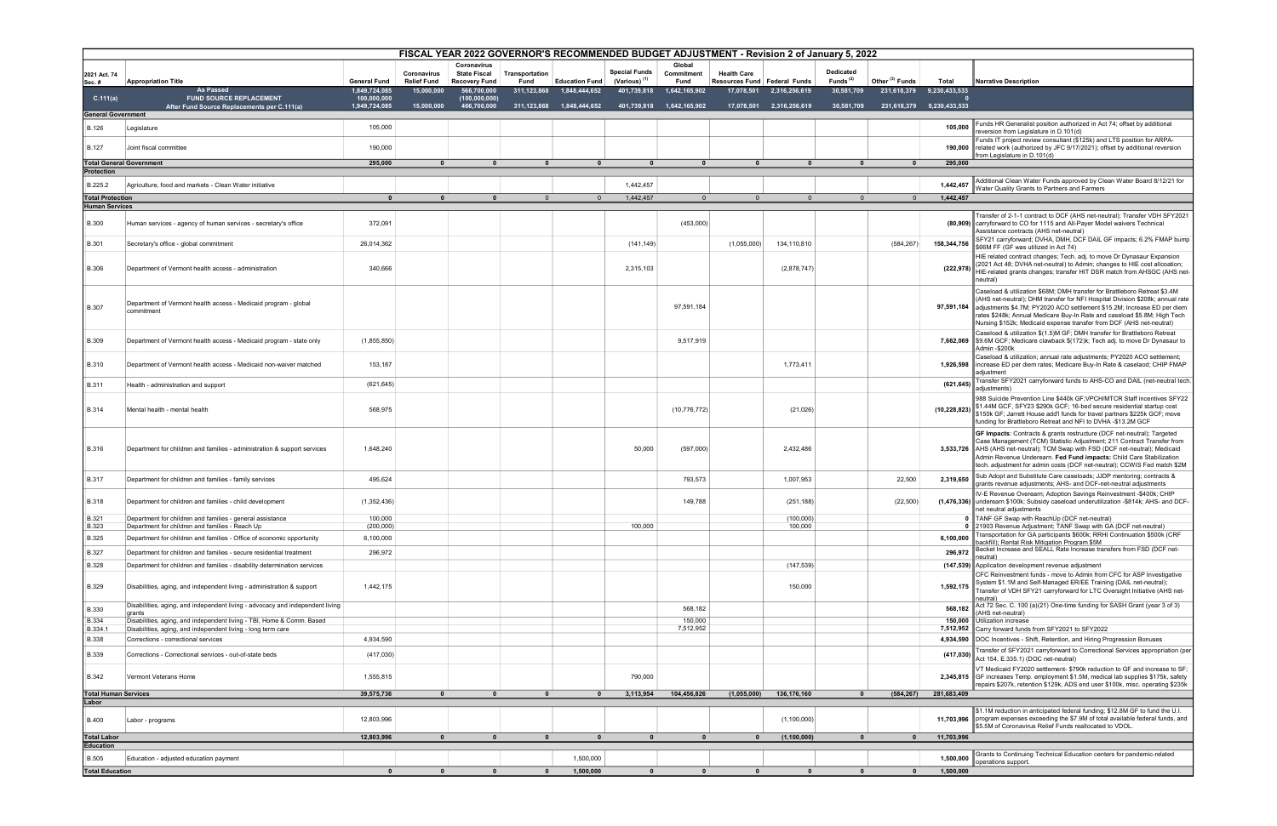| FISCAL YEAR 2022 GOVERNOR'S RECOMMENDED BUDGET ADJUSTMENT - Revision 2 of January 5, 2022 |                                                                                                                                       |                                               |                                   |                                                            |                            |                                |                                                  |                                |                                                      |                                |                                          |                                          |                |                                                                                                                                                                                                                                                                                                                                                                                                      |
|-------------------------------------------------------------------------------------------|---------------------------------------------------------------------------------------------------------------------------------------|-----------------------------------------------|-----------------------------------|------------------------------------------------------------|----------------------------|--------------------------------|--------------------------------------------------|--------------------------------|------------------------------------------------------|--------------------------------|------------------------------------------|------------------------------------------|----------------|------------------------------------------------------------------------------------------------------------------------------------------------------------------------------------------------------------------------------------------------------------------------------------------------------------------------------------------------------------------------------------------------------|
| 2021 Act. 74<br>$Sec.$ #                                                                  | <b>Appropriation Title</b>                                                                                                            | General Fund                                  | Coronavirus<br><b>Relief Fund</b> | Coronavirus<br><b>State Fiscal</b><br><b>Recovery Fund</b> | Transportation<br>Fund     | <b>Education Fund</b>          | <b>Special Funds</b><br>(Various) <sup>(1)</sup> | Global<br>Commitment<br>Fund   | <b>Health Care</b><br>Resources Fund   Federal Funds |                                | <b>Dedicated</b><br>Funds <sup>(2)</sup> | Other <sup>(3)</sup> Funds               | Total          | Narrative Description                                                                                                                                                                                                                                                                                                                                                                                |
| C.111(a)                                                                                  | As Passed<br><b>FUND SOURCE REPLACEMENT</b><br>After Fund Source Replacements per C.111(a)                                            | 1,849,724,085<br>100,000,000<br>1,949,724,085 | 15,000,000<br>15,000,000          | 566,700,000<br>(100, 000, 000)<br>466,700,000              | 311,123,868<br>311,123,868 | 1,848,444,652<br>1.848.444.652 | 401,739,818<br>401,739,818                       | 1,642,165,902<br>1,642,165,902 | 17,078,501<br>17,078,501                             | 2,316,256,619<br>2,316,256,619 | 30,581,709<br>30,581,709                 | 231,618,379<br>231,618,379 9,230,433,533 | 9,230,433,533  |                                                                                                                                                                                                                                                                                                                                                                                                      |
| <b>General Government</b>                                                                 |                                                                                                                                       |                                               |                                   |                                                            |                            |                                |                                                  |                                |                                                      |                                |                                          |                                          |                |                                                                                                                                                                                                                                                                                                                                                                                                      |
| <b>B.126</b>                                                                              | Legislature                                                                                                                           | 105,000                                       |                                   |                                                            |                            |                                |                                                  |                                |                                                      |                                |                                          |                                          | 105,000        | unds HR Generalist position authorized in Act 74; offset by additional<br>reversion from Legislature in D.101(d)<br>Funds IT project review consultant (\$125k) and LTS position for ARPA-                                                                                                                                                                                                           |
| <b>B.127</b>                                                                              | Joint fiscal committee                                                                                                                | 190,000                                       |                                   |                                                            |                            |                                |                                                  |                                |                                                      |                                |                                          |                                          |                | 190,000 Felated work (authorized by JFC 9/17/2021); offset by additional reversion<br>from Legislature in D.101(d)                                                                                                                                                                                                                                                                                   |
| <b>Protection</b>                                                                         | <b>Total General Government</b>                                                                                                       | 295,000                                       | $\mathbf{0}$                      | $\mathbf{0}$                                               | $\mathbf{0}$               | $\mathbf{0}$                   | $\mathbf{0}$                                     | $\mathbf{0}$                   | $\mathbf{0}$                                         | $\mathbf{0}$                   | $\mathbf{0}$                             | $\mathbf{0}$                             | 295,000        |                                                                                                                                                                                                                                                                                                                                                                                                      |
| B.225.2                                                                                   | Agriculture, food and markets - Clean Water initiative                                                                                |                                               |                                   |                                                            |                            |                                | 1,442,457                                        |                                |                                                      |                                |                                          |                                          | 1.442.457      | Additional Clean Water Funds approved by Clean Water Board 8/12/21 for<br>Water Quality Grants to Partners and Farmers                                                                                                                                                                                                                                                                               |
| <b>Total Protection</b><br><b>Human Services</b>                                          |                                                                                                                                       | $\mathbf{0}$                                  | $\mathbf{0}$                      | $\Omega$                                                   | $\Omega$                   | $\Omega$                       | 1,442,457                                        | $\Omega$                       | $\Omega$                                             | $\Omega$                       | $\Omega$                                 | $\Omega$                                 | 1,442,457      |                                                                                                                                                                                                                                                                                                                                                                                                      |
|                                                                                           |                                                                                                                                       |                                               |                                   |                                                            |                            |                                |                                                  |                                |                                                      |                                |                                          |                                          |                | Transfer of 2-1-1 contract to DCF (AHS net-neutral); Transfer VDH SFY2021                                                                                                                                                                                                                                                                                                                            |
| <b>B.300</b>                                                                              | Human services - agency of human services - secretary's office                                                                        | 372,091                                       |                                   |                                                            |                            |                                |                                                  | (453,000)                      |                                                      |                                |                                          |                                          |                | (80,909) carryforward to CO for 1115 and All-Payer Model waivers Technical<br>Assistance contracts (AHS net-neutral)                                                                                                                                                                                                                                                                                 |
| <b>B.301</b>                                                                              | Secretary's office - global commitment                                                                                                | 26,014,362                                    |                                   |                                                            |                            |                                | (141, 149)                                       |                                | (1,055,000)                                          | 134,110,810                    |                                          | (584, 267)                               | 158,344,756    | SFY21 carryforward; DVHA, DMH, DCF DAIL GF impacts; 6.2% FMAP bump<br>\$66M FF (GF was utilized in Act 74)<br>HIE related contract changes; Tech. adj. to move Dr Dynasaur Expansion                                                                                                                                                                                                                 |
| <b>B.306</b>                                                                              | Department of Vermont health access - administration                                                                                  | 340,666                                       |                                   |                                                            |                            |                                | 2,315,103                                        |                                |                                                      | (2,878,747)                    |                                          |                                          | (222, 978)     | (2021 Act 48; DVHA net-neutral) to Admin; changes to HIE cost allcoation;<br>HIE-related grants changes; transfer HIT DSR match from AHSGC (AHS net-<br>neutral)                                                                                                                                                                                                                                     |
| <b>B.307</b>                                                                              | Department of Vermont health access - Medicaid program - global<br>commitment                                                         |                                               |                                   |                                                            |                            |                                |                                                  | 97,591,184                     |                                                      |                                |                                          |                                          |                | Caseload & utilization \$68M; DMH transfer for Brattleboro Retreat \$3.4M<br>(AHS net-neutral): DHM transfer for NFI Hospital Division \$208k; annual rate<br>97,591,184 adjustments \$4.7M; PY2020 ACO settlement \$15.2M; Increase ED per diem<br>rates \$248k; Annual Medicare Buy-In Rate and caseload \$5.8M; High Tech<br>Nursing \$152k; Medicaid expense transfer from DCF (AHS net-neutral) |
| <b>B.309</b>                                                                              | Department of Vermont health access - Medicaid program - state only                                                                   | (1,855,850)                                   |                                   |                                                            |                            |                                |                                                  | 9,517,919                      |                                                      |                                |                                          |                                          |                | Caseload & utilization \$(1.5)M GF: DMH transfer for Brattleboro Retreat<br>7,662,069 S9.6M GCF; Medicare clawback \$(172)k; Tech adj. to move Dr Dynasaur to<br>Admin -\$200k                                                                                                                                                                                                                       |
| <b>B.310</b>                                                                              | Department of Vermont health access - Medicaid non-waiver matched                                                                     | 153,187                                       |                                   |                                                            |                            |                                |                                                  |                                |                                                      | 1,773,411                      |                                          |                                          | 1,926,598      | Caseload & utilization; annual rate adjustments; PY2020 ACO settlement;<br>increase ED per diem rates; Medicare Buy-In Rate & caselaod; CHIP FMAP<br>adjustment                                                                                                                                                                                                                                      |
| <b>B.311</b>                                                                              | Health - administration and support                                                                                                   | (621, 645)                                    |                                   |                                                            |                            |                                |                                                  |                                |                                                      |                                |                                          |                                          | (621, 645)     | Transfer SFY2021 carryforward funds to AHS-CO and DAIL (net-neutral tech<br>adjustments)                                                                                                                                                                                                                                                                                                             |
| <b>B.314</b>                                                                              | Mental health - mental health                                                                                                         | 568,975                                       |                                   |                                                            |                            |                                |                                                  | (10, 776, 772)                 |                                                      | (21,026)                       |                                          |                                          | (10, 228, 823) | 988 Suicide Prevention Line \$440k GF; VPCH/MTCR Staff incentives SFY22<br>\$1.44M GCF, SFY23 \$290k GCF; 16-bed secure residential startup cost<br>\$150k GF; Jarrett House add'I funds for travel partners \$225k GCF; move<br>funding for Brattleboro Retreat and NFI to DVHA -\$13.2M GCF                                                                                                        |
| <b>B.316</b>                                                                              | Department for children and families - administration & support services                                                              | 1,648,240                                     |                                   |                                                            |                            |                                | 50,000                                           | (597,000)                      |                                                      | 2,432,486                      |                                          |                                          |                | GF Impacts: Contracts & grants restructure (DCF net-neutral); Targeted<br>Case Management (TCM) Statistic Adjustment; 211 Contract Transfer from<br>3,533,726 AHS (AHS net-neutral); TCM Swap with FSD (DCF net-neutral); Medicaid<br>Admin Revenue Underearn. Fed Fund impacts: Child Care Stabilization<br>tech. adjustment for admin costs (DCF net-neutral); CCWIS Fed match \$2M                |
| <b>B.317</b>                                                                              | Department for children and families - family services                                                                                | 495,624                                       |                                   |                                                            |                            |                                |                                                  | 793,573                        |                                                      | 1,007,953                      |                                          | 22,500                                   | 2,319,650      | Sub Adopt and Substitute Care caseloads; JJDP mentoring; contracts &<br>grants revenue adjustments; AHS- and DCF-net-neutral adjustments                                                                                                                                                                                                                                                             |
| <b>B.318</b>                                                                              | Department for children and families - child development                                                                              | (1,352,436)                                   |                                   |                                                            |                            |                                |                                                  | 149,788                        |                                                      | (251, 188)                     |                                          | (22, 500)                                |                | IV-E Revenue Overearn; Adoption Savings Reinvestment -\$400k; CHIP<br>(1,476,336) underearn \$100k; Subsidy caseload underutilization -\$814k; AHS- and DCF-<br>net neutral adjustments                                                                                                                                                                                                              |
| <b>B.321</b><br><b>B.323</b>                                                              | Department for children and families - general assistance<br>Department for children and families - Reach Up                          | 100,000<br>(200,000)                          |                                   |                                                            |                            |                                | 100,000                                          |                                |                                                      | (100,000)<br>100,000           |                                          |                                          | 0 <sup>1</sup> | 0 TANF GF Swap with ReachUp (DCF net-neutral)<br>21903 Revenue Adjustment; TANF Swap with GA (DCF net-neutral)                                                                                                                                                                                                                                                                                       |
| <b>B.325</b>                                                                              | Department for children and families - Office of economic opportunity                                                                 | 6,100,000                                     |                                   |                                                            |                            |                                |                                                  |                                |                                                      |                                |                                          |                                          | 6,100,000      | Fransportation for GA participants \$600k; RRHI Continuation \$500k (CRF<br>ackfill); Rental Risk Mitigation Program \$5M                                                                                                                                                                                                                                                                            |
| <b>B.327</b>                                                                              | Department for children and families - secure residential treatment                                                                   | 296,972                                       |                                   |                                                            |                            |                                |                                                  |                                |                                                      |                                |                                          |                                          | 296,972        | Becket Increase and SEALL Rate Increase transfers from FSD (DCF net-<br>าeutral)                                                                                                                                                                                                                                                                                                                     |
| <b>B.328</b>                                                                              | Department for children and families - disability determination services                                                              |                                               |                                   |                                                            |                            |                                |                                                  |                                |                                                      | (147, 539)                     |                                          |                                          |                | (147,539) Application development revenue adjustment                                                                                                                                                                                                                                                                                                                                                 |
| B.329                                                                                     | Disabilities, aging, and independent living - administration & support                                                                | 1,442,175                                     |                                   |                                                            |                            |                                |                                                  |                                |                                                      | 150,000                        |                                          |                                          | 1,592,175      | CFC Reinvestment funds - move to Admin from CFC for ASP Investigative<br>System \$1.1M and Self-Managed ER/EE Training (DAIL net-neutral);<br>Transfer of VDH SFY21 carryforward for LTC Oversight Initiative (AHS net-<br>neutral)                                                                                                                                                                  |
| <b>B.330</b>                                                                              | Disabilities, aging, and independent living - advocacy and independent living<br>grants                                               |                                               |                                   |                                                            |                            |                                |                                                  | 568,182                        |                                                      |                                |                                          |                                          | 568,182        | Act 72 Sec. C. 100 (a)(21) One-time funding for SASH Grant (year 3 of 3)<br>AHS net-neutral)                                                                                                                                                                                                                                                                                                         |
| <b>B.334</b><br>B.334.1                                                                   | Disabilities, aging, and independent living - TBI, Home & Comm. Based<br>Disabilities, aging, and independent living - long term care |                                               |                                   |                                                            |                            |                                |                                                  | 150,000<br>7,512,952           |                                                      |                                |                                          |                                          |                | 150,000 Utilization increase<br>7,512,952 Carry forward funds from SFY2021 to SFY2022                                                                                                                                                                                                                                                                                                                |
| <b>B.338</b>                                                                              | Corrections - correctional services                                                                                                   | 4,934,590                                     |                                   |                                                            |                            |                                |                                                  |                                |                                                      |                                |                                          |                                          |                | 4,934,590 DOC Incentives - Shift, Retention, and Hiring Progression Bonuses                                                                                                                                                                                                                                                                                                                          |
| B.339                                                                                     | Corrections - Correctional services - out-of-state beds                                                                               | (417,030)                                     |                                   |                                                            |                            |                                |                                                  |                                |                                                      |                                |                                          |                                          | (417, 030)     | Transfer of SFY2021 carryforward to Correctional Services appropriation (per<br>Act 154, E.335.1) (DOC net-neutral)                                                                                                                                                                                                                                                                                  |
| <b>B.342</b>                                                                              | Vermont Veterans Home                                                                                                                 | 1,555,815                                     |                                   |                                                            |                            |                                | 790,000                                          |                                |                                                      |                                |                                          |                                          |                | VT Medicaid FY2020 settlement- \$790k reduction to GF and increase to SF;<br>2,345,815 GF increases Temp. employment \$1.5M, medical lab supplies \$175k, safety<br>repairs \$207k, retention \$129k, ADS end user \$100k, misc. operating \$235k                                                                                                                                                    |
| <b>Total Human Services</b>                                                               |                                                                                                                                       | 39,575,736                                    | $\bullet$                         | $\mathbf{0}$                                               | $\mathbf{0}$               |                                | 3,113,954                                        | 104,456,826                    | (1,055,000)                                          | 136,176,160                    | $\mathbf{0}$                             | (584, 267)                               | 281,683,409    |                                                                                                                                                                                                                                                                                                                                                                                                      |
| Labor<br><b>B.400</b>                                                                     | Labor - programs                                                                                                                      | 12,803,996                                    |                                   |                                                            |                            |                                |                                                  |                                |                                                      | (1,100,000)                    |                                          |                                          | 11,703,996     | \$1.1M reduction in anticipated federal funding; \$12.8M GF to fund the U.I.<br>program expenses exceeding the \$7.9M of total available federal funds, and<br>\$5.5M of Coronavirus Relief Funds reallocated to VDOL.                                                                                                                                                                               |
| <b>Total Labor</b>                                                                        |                                                                                                                                       | 12,803,996                                    | $\bullet$                         | $\mathbf{0}$                                               | $\mathbf{0}$               | $\mathbf{0}$                   | $\mathbf{0}$                                     | $\mathbf{0}$                   | $\mathbf{0}$                                         | (1, 100, 000)                  | $\bf{0}$                                 | $\mathbf{0}$                             | 11,703,996     |                                                                                                                                                                                                                                                                                                                                                                                                      |
| <b>Education</b>                                                                          |                                                                                                                                       |                                               |                                   |                                                            |                            |                                |                                                  |                                |                                                      |                                |                                          |                                          |                |                                                                                                                                                                                                                                                                                                                                                                                                      |
| <b>B.505</b>                                                                              | Education - adjusted education payment                                                                                                |                                               |                                   |                                                            |                            | 1,500,000                      |                                                  |                                |                                                      |                                |                                          |                                          | 1,500,000      | Grants to Continuing Technical Education centers for pandemic-related<br>operations support.                                                                                                                                                                                                                                                                                                         |
| <b>Total Education</b>                                                                    |                                                                                                                                       | $\mathbf{0}$                                  | $\Omega$                          | $\Omega$                                                   | $\Omega$                   | 1,500,000                      | $\Omega$                                         | $\Omega$                       | $\Omega$                                             | $\Omega$                       | $\Omega$                                 |                                          | 1,500,000      |                                                                                                                                                                                                                                                                                                                                                                                                      |